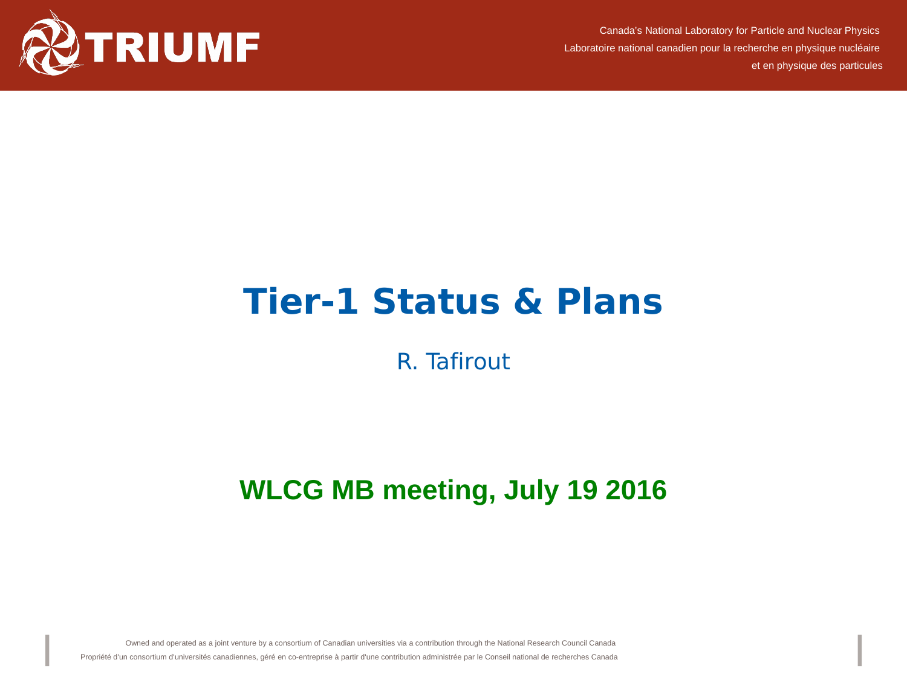

Canada's National Laboratory for Particle and Nuclear Physics Laboratoire national canadien pour la recherche en physique nucléaire et en physique des particules

## **Tier-1 Status & Plans**

## R. Tafirout

## **WLCG MB meeting, July 19 2016**

Owned and operated as a joint venture by a consortium of Canadian universities via a contribution through the National Research Council Canada

Propriété d'un consortium d'universités canadiennes, géré en co-entreprise à partir d'une contribution administrée par le Conseil national de recherches Canada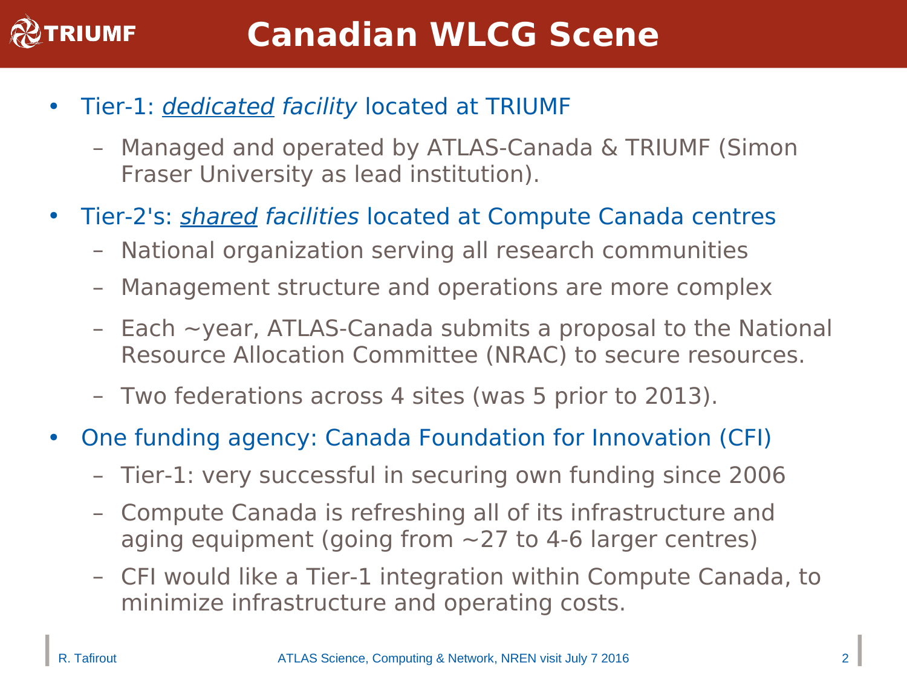

- Tier-1: *dedicated facility* located at TRIUMF
	- Managed and operated by ATLAS-Canada & TRIUMF (Simon Fraser University as lead institution).
- Tier-2's: *shared facilities* located at Compute Canada centres
	- National organization serving all research communities
	- Management structure and operations are more complex
	- $-$  Each  $\sim$ year, ATLAS-Canada submits a proposal to the National Resource Allocation Committee (NRAC) to secure resources.
	- Two federations across 4 sites (was 5 prior to 2013).
- One funding agency: Canada Foundation for Innovation (CFI)
	- Tier-1: very successful in securing own funding since 2006
	- Compute Canada is refreshing all of its infrastructure and aging equipment (going from  $\sim$  27 to 4-6 larger centres)
	- CFI would like a Tier-1 integration within Compute Canada, to minimize infrastructure and operating costs.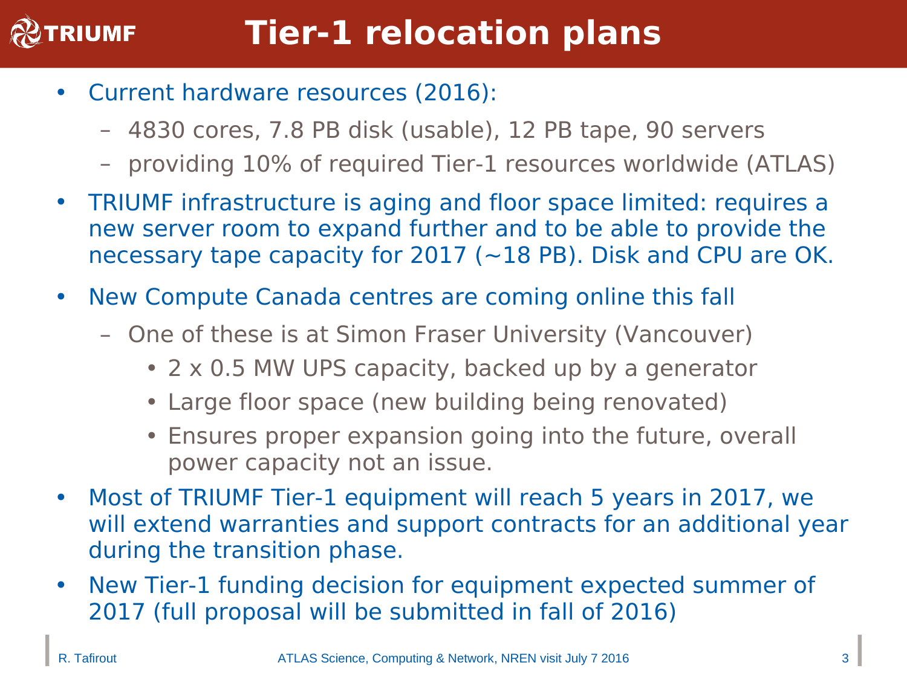

- Current hardware resources (2016):
	- 4830 cores, 7.8 PB disk (usable), 12 PB tape, 90 servers
	- providing 10% of required Tier-1 resources worldwide (ATLAS)
- TRIUMF infrastructure is aging and floor space limited: requires a new server room to expand further and to be able to provide the necessary tape capacity for 2017 (~18 PB). Disk and CPU are OK.
- New Compute Canada centres are coming online this fall
	- One of these is at Simon Fraser University (Vancouver)
		- 2 x 0.5 MW UPS capacity, backed up by a generator
		- Large floor space (new building being renovated)
		- Ensures proper expansion going into the future, overall power capacity not an issue.
- Most of TRIUMF Tier-1 equipment will reach 5 years in 2017, we will extend warranties and support contracts for an additional year during the transition phase.
- New Tier-1 funding decision for equipment expected summer of 2017 (full proposal will be submitted in fall of 2016)